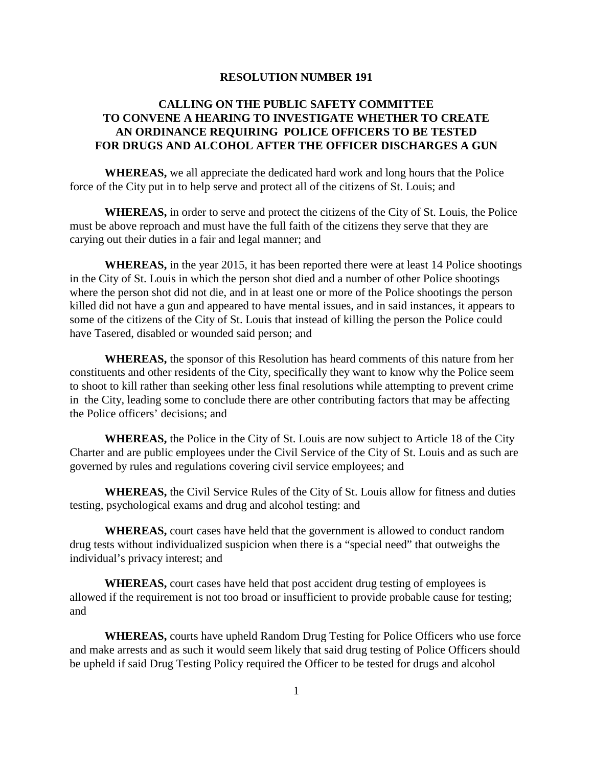## **RESOLUTION NUMBER 191**

## **CALLING ON THE PUBLIC SAFETY COMMITTEE TO CONVENE A HEARING TO INVESTIGATE WHETHER TO CREATE AN ORDINANCE REQUIRING POLICE OFFICERS TO BE TESTED FOR DRUGS AND ALCOHOL AFTER THE OFFICER DISCHARGES A GUN**

**WHEREAS,** we all appreciate the dedicated hard work and long hours that the Police force of the City put in to help serve and protect all of the citizens of St. Louis; and

**WHEREAS,** in order to serve and protect the citizens of the City of St. Louis, the Police must be above reproach and must have the full faith of the citizens they serve that they are carying out their duties in a fair and legal manner; and

**WHEREAS,** in the year 2015, it has been reported there were at least 14 Police shootings in the City of St. Louis in which the person shot died and a number of other Police shootings where the person shot did not die, and in at least one or more of the Police shootings the person killed did not have a gun and appeared to have mental issues, and in said instances, it appears to some of the citizens of the City of St. Louis that instead of killing the person the Police could have Tasered, disabled or wounded said person; and

**WHEREAS,** the sponsor of this Resolution has heard comments of this nature from her constituents and other residents of the City, specifically they want to know why the Police seem to shoot to kill rather than seeking other less final resolutions while attempting to prevent crime in the City, leading some to conclude there are other contributing factors that may be affecting the Police officers' decisions; and

**WHEREAS,** the Police in the City of St. Louis are now subject to Article 18 of the City Charter and are public employees under the Civil Service of the City of St. Louis and as such are governed by rules and regulations covering civil service employees; and

**WHEREAS,** the Civil Service Rules of the City of St. Louis allow for fitness and duties testing, psychological exams and drug and alcohol testing: and

**WHEREAS,** court cases have held that the government is allowed to conduct random drug tests without individualized suspicion when there is a "special need" that outweighs the individual's privacy interest; and

**WHEREAS,** court cases have held that post accident drug testing of employees is allowed if the requirement is not too broad or insufficient to provide probable cause for testing; and

**WHEREAS,** courts have upheld Random Drug Testing for Police Officers who use force and make arrests and as such it would seem likely that said drug testing of Police Officers should be upheld if said Drug Testing Policy required the Officer to be tested for drugs and alcohol